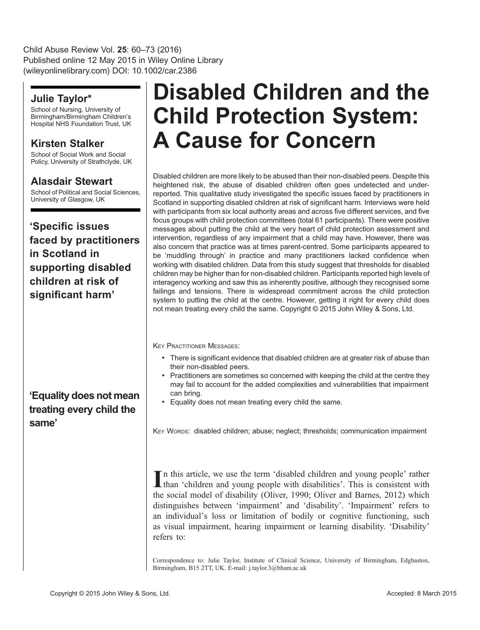Child Abuse Review Vol. 25: 60–73 (2016) Published online 12 May 2015 in Wiley Online Library (wileyonlinelibrary.com) DOI: 10.1002/car.2386

## Julie Taylor\*

School of Nursing, University of Birmingham/Birmingham Children's Hospital NHS Foundation Trust, UK

## Kirsten Stalker

School of Social Work and Social Policy, University of Strathclyde, UK

## Alasdair Stewart

School of Political and Social Sciences, University of Glasgow, UK

'Specific issues faced by practitioners in Scotland in supporting disabled children at risk of significant harm'

'Equality does not mean treating every child the same'

# Disabled Children and the Child Protection System: A Cause for Concern

Disabled children are more likely to be abused than their non-disabled peers. Despite this heightened risk, the abuse of disabled children often goes undetected and underreported. This qualitative study investigated the specific issues faced by practitioners in Scotland in supporting disabled children at risk of significant harm. Interviews were held with participants from six local authority areas and across five different services, and five focus groups with child protection committees (total 61 participants). There were positive messages about putting the child at the very heart of child protection assessment and intervention, regardless of any impairment that a child may have. However, there was also concern that practice was at times parent-centred. Some participants appeared to be 'muddling through' in practice and many practitioners lacked confidence when working with disabled children. Data from this study suggest that thresholds for disabled children may be higher than for non-disabled children. Participants reported high levels of interagency working and saw this as inherently positive, although they recognised some failings and tensions. There is widespread commitment across the child protection system to putting the child at the centre. However, getting it right for every child does not mean treating every child the same. Copyright © 2015 John Wiley & Sons, Ltd.

KEY PRACTITIONER MESSAGES:

- There is significant evidence that disabled children are at greater risk of abuse than their non-disabled peers.
- Practitioners are sometimes so concerned with keeping the child at the centre they may fail to account for the added complexities and vulnerabilities that impairment can bring.
- Equality does not mean treating every child the same.

KEY WORDS: disabled children; abuse; neglect; thresholds; communication impairment

In this article, we use the term 'disabled children and young people' rather<br>than 'children and young people with disabilities'. This is consistent with than 'children and young people with disabilities'. This is consistent with the social model of disability (Oliver, 1990; Oliver and Barnes, 2012) which distinguishes between 'impairment' and 'disability'. 'Impairment' refers to an individual's loss or limitation of bodily or cognitive functioning, such as visual impairment, hearing impairment or learning disability. 'Disability' refers to:

Correspondence to: Julie Taylor, Institute of Clinical Science, University of Birmingham, Edgbaston, Birmingham, B15 2TT, UK. E-mail: j.taylor.3@bham.ac.uk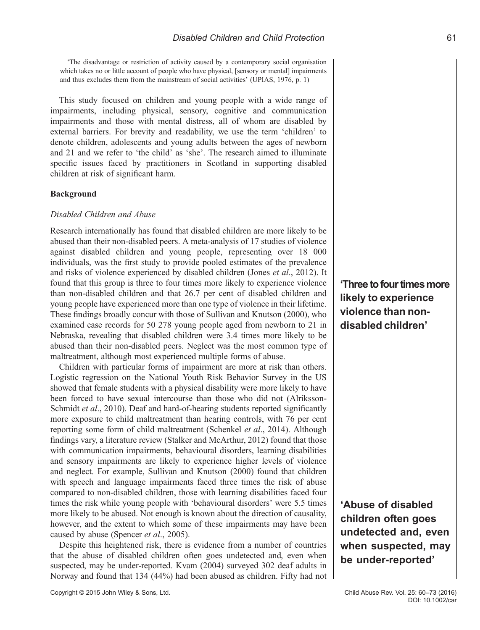'The disadvantage or restriction of activity caused by a contemporary social organisation which takes no or little account of people who have physical, [sensory or mental] impairments and thus excludes them from the mainstream of social activities' (UPIAS, 1976, p. 1)

This study focused on children and young people with a wide range of impairments, including physical, sensory, cognitive and communication impairments and those with mental distress, all of whom are disabled by external barriers. For brevity and readability, we use the term 'children' to denote children, adolescents and young adults between the ages of newborn and 21 and we refer to 'the child' as 'she'. The research aimed to illuminate specific issues faced by practitioners in Scotland in supporting disabled children at risk of significant harm.

#### Background

#### Disabled Children and Abuse

Research internationally has found that disabled children are more likely to be abused than their non-disabled peers. A meta-analysis of 17 studies of violence against disabled children and young people, representing over 18 000 individuals, was the first study to provide pooled estimates of the prevalence and risks of violence experienced by disabled children (Jones et al., 2012). It found that this group is three to four times more likely to experience violence than non-disabled children and that 26.7 per cent of disabled children and young people have experienced more than one type of violence in their lifetime. These findings broadly concur with those of Sullivan and Knutson (2000), who examined case records for 50 278 young people aged from newborn to 21 in Nebraska, revealing that disabled children were 3.4 times more likely to be abused than their non-disabled peers. Neglect was the most common type of maltreatment, although most experienced multiple forms of abuse.

Children with particular forms of impairment are more at risk than others. Logistic regression on the National Youth Risk Behavior Survey in the US showed that female students with a physical disability were more likely to have been forced to have sexual intercourse than those who did not (Alriksson-Schmidt *et al.*, 2010). Deaf and hard-of-hearing students reported significantly more exposure to child maltreatment than hearing controls, with 76 per cent reporting some form of child maltreatment (Schenkel et al., 2014). Although findings vary, a literature review (Stalker and McArthur, 2012) found that those with communication impairments, behavioural disorders, learning disabilities and sensory impairments are likely to experience higher levels of violence and neglect. For example, Sullivan and Knutson (2000) found that children with speech and language impairments faced three times the risk of abuse compared to non-disabled children, those with learning disabilities faced four times the risk while young people with 'behavioural disorders' were 5.5 times more likely to be abused. Not enough is known about the direction of causality, however, and the extent to which some of these impairments may have been caused by abuse (Spencer et al., 2005).

Despite this heightened risk, there is evidence from a number of countries that the abuse of disabled children often goes undetected and, even when suspected, may be under-reported. Kvam (2004) surveyed 302 deaf adults in Norway and found that 134 (44%) had been abused as children. Fifty had not

'Three to four times more likely to experience violence than nondisabled children'

'Abuse of disabled children often goes undetected and, even when suspected, may be under-reported'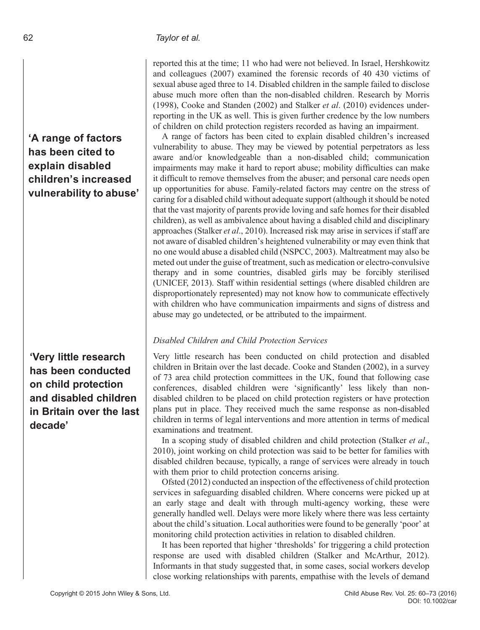'A range of factors has been cited to explain disabled children's increased vulnerability to abuse'

'Very little research has been conducted on child protection and disabled children in Britain over the last decade'

reported this at the time; 11 who had were not believed. In Israel, Hershkowitz and colleagues (2007) examined the forensic records of 40 430 victims of sexual abuse aged three to 14. Disabled children in the sample failed to disclose abuse much more often than the non-disabled children. Research by Morris (1998), Cooke and Standen (2002) and Stalker et al. (2010) evidences underreporting in the UK as well. This is given further credence by the low numbers of children on child protection registers recorded as having an impairment.

A range of factors has been cited to explain disabled children's increased vulnerability to abuse. They may be viewed by potential perpetrators as less aware and/or knowledgeable than a non-disabled child; communication impairments may make it hard to report abuse; mobility difficulties can make it difficult to remove themselves from the abuser; and personal care needs open up opportunities for abuse. Family-related factors may centre on the stress of caring for a disabled child without adequate support (although it should be noted that the vast majority of parents provide loving and safe homes for their disabled children), as well as ambivalence about having a disabled child and disciplinary approaches (Stalker et al., 2010). Increased risk may arise in services if staff are not aware of disabled children's heightened vulnerability or may even think that no one would abuse a disabled child (NSPCC, 2003). Maltreatment may also be meted out under the guise of treatment, such as medication or electro-convulsive therapy and in some countries, disabled girls may be forcibly sterilised (UNICEF, 2013). Staff within residential settings (where disabled children are disproportionately represented) may not know how to communicate effectively with children who have communication impairments and signs of distress and abuse may go undetected, or be attributed to the impairment.

### Disabled Children and Child Protection Services

Very little research has been conducted on child protection and disabled children in Britain over the last decade. Cooke and Standen (2002), in a survey of 73 area child protection committees in the UK, found that following case conferences, disabled children were 'significantly' less likely than nondisabled children to be placed on child protection registers or have protection plans put in place. They received much the same response as non-disabled children in terms of legal interventions and more attention in terms of medical examinations and treatment.

In a scoping study of disabled children and child protection (Stalker et al., 2010), joint working on child protection was said to be better for families with disabled children because, typically, a range of services were already in touch with them prior to child protection concerns arising.

Ofsted (2012) conducted an inspection of the effectiveness of child protection services in safeguarding disabled children. Where concerns were picked up at an early stage and dealt with through multi-agency working, these were generally handled well. Delays were more likely where there was less certainty about the child's situation. Local authorities were found to be generally 'poor' at monitoring child protection activities in relation to disabled children.

It has been reported that higher 'thresholds' for triggering a child protection response are used with disabled children (Stalker and McArthur, 2012). Informants in that study suggested that, in some cases, social workers develop close working relationships with parents, empathise with the levels of demand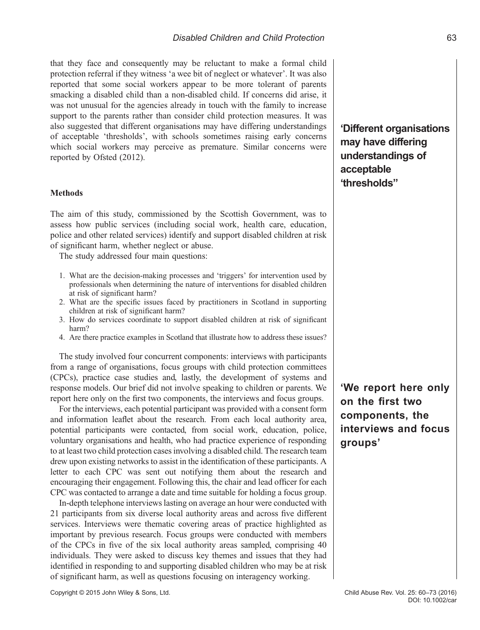that they face and consequently may be reluctant to make a formal child protection referral if they witness 'a wee bit of neglect or whatever'. It was also reported that some social workers appear to be more tolerant of parents smacking a disabled child than a non-disabled child. If concerns did arise, it was not unusual for the agencies already in touch with the family to increase support to the parents rather than consider child protection measures. It was also suggested that different organisations may have differing understandings of acceptable 'thresholds', with schools sometimes raising early concerns which social workers may perceive as premature. Similar concerns were reported by Ofsted (2012).

#### Methods

The aim of this study, commissioned by the Scottish Government, was to assess how public services (including social work, health care, education, police and other related services) identify and support disabled children at risk of significant harm, whether neglect or abuse.

The study addressed four main questions:

- 1. What are the decision-making processes and 'triggers' for intervention used by professionals when determining the nature of interventions for disabled children at risk of significant harm?
- 2. What are the specific issues faced by practitioners in Scotland in supporting children at risk of significant harm?
- 3. How do services coordinate to support disabled children at risk of significant harm?
- 4. Are there practice examples in Scotland that illustrate how to address these issues?

The study involved four concurrent components: interviews with participants from a range of organisations, focus groups with child protection committees (CPCs), practice case studies and, lastly, the development of systems and response models. Our brief did not involve speaking to children or parents. We report here only on the first two components, the interviews and focus groups.

For the interviews, each potential participant was provided with a consent form and information leaflet about the research. From each local authority area, potential participants were contacted, from social work, education, police, voluntary organisations and health, who had practice experience of responding to at least two child protection cases involving a disabled child. The research team drew upon existing networks to assist in the identification of these participants. A letter to each CPC was sent out notifying them about the research and encouraging their engagement. Following this, the chair and lead officer for each CPC was contacted to arrange a date and time suitable for holding a focus group.

In-depth telephone interviews lasting on average an hour were conducted with 21 participants from six diverse local authority areas and across five different services. Interviews were thematic covering areas of practice highlighted as important by previous research. Focus groups were conducted with members of the CPCs in five of the six local authority areas sampled, comprising 40 individuals. They were asked to discuss key themes and issues that they had identified in responding to and supporting disabled children who may be at risk of significant harm, as well as questions focusing on interagency working.

'We report here only on the first two components, the interviews and focus groups'

'Different organisations

may have differing understandings of

acceptable 'thresholds"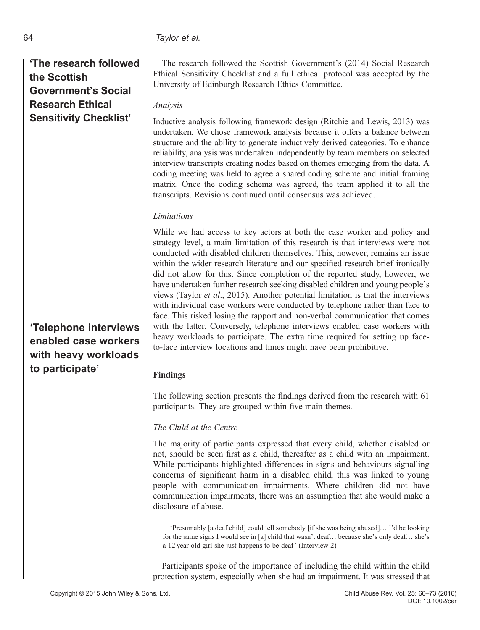#### 64 Taylor et al.

# 'The research followed the Scottish Government's Social Research Ethical Sensitivity Checklist'

# 'Telephone interviews enabled case workers with heavy workloads to participate'

The research followed the Scottish Government's (2014) Social Research Ethical Sensitivity Checklist and a full ethical protocol was accepted by the University of Edinburgh Research Ethics Committee.

#### Analysis

Inductive analysis following framework design (Ritchie and Lewis, 2013) was undertaken. We chose framework analysis because it offers a balance between structure and the ability to generate inductively derived categories. To enhance reliability, analysis was undertaken independently by team members on selected interview transcripts creating nodes based on themes emerging from the data. A coding meeting was held to agree a shared coding scheme and initial framing matrix. Once the coding schema was agreed, the team applied it to all the transcripts. Revisions continued until consensus was achieved.

#### **Limitations**

While we had access to key actors at both the case worker and policy and strategy level, a main limitation of this research is that interviews were not conducted with disabled children themselves. This, however, remains an issue within the wider research literature and our specified research brief ironically did not allow for this. Since completion of the reported study, however, we have undertaken further research seeking disabled children and young people's views (Taylor et al., 2015). Another potential limitation is that the interviews with individual case workers were conducted by telephone rather than face to face. This risked losing the rapport and non-verbal communication that comes with the latter. Conversely, telephone interviews enabled case workers with heavy workloads to participate. The extra time required for setting up faceto-face interview locations and times might have been prohibitive.

#### Findings

The following section presents the findings derived from the research with 61 participants. They are grouped within five main themes.

#### The Child at the Centre

The majority of participants expressed that every child, whether disabled or not, should be seen first as a child, thereafter as a child with an impairment. While participants highlighted differences in signs and behaviours signalling concerns of significant harm in a disabled child, this was linked to young people with communication impairments. Where children did not have communication impairments, there was an assumption that she would make a disclosure of abuse.

'Presumably [a deaf child] could tell somebody [if she was being abused]… I'd be looking for the same signs I would see in [a] child that wasn't deaf… because she's only deaf… she's a 12 year old girl she just happens to be deaf' (Interview 2)

Participants spoke of the importance of including the child within the child protection system, especially when she had an impairment. It was stressed that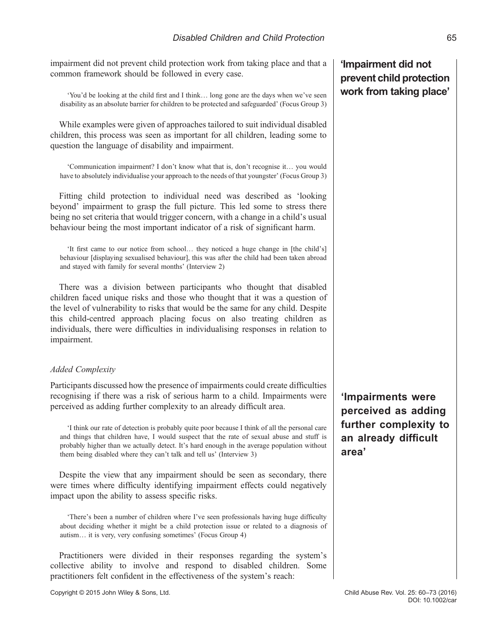impairment did not prevent child protection work from taking place and that a common framework should be followed in every case.

'You'd be looking at the child first and I think… long gone are the days when we've seen disability as an absolute barrier for children to be protected and safeguarded' (Focus Group 3)

While examples were given of approaches tailored to suit individual disabled children, this process was seen as important for all children, leading some to question the language of disability and impairment.

'Communication impairment? I don't know what that is, don't recognise it… you would have to absolutely individualise your approach to the needs of that youngster' (Focus Group 3)

Fitting child protection to individual need was described as 'looking beyond' impairment to grasp the full picture. This led some to stress there being no set criteria that would trigger concern, with a change in a child's usual behaviour being the most important indicator of a risk of significant harm.

'It first came to our notice from school… they noticed a huge change in [the child's] behaviour [displaying sexualised behaviour], this was after the child had been taken abroad and stayed with family for several months' (Interview 2)

There was a division between participants who thought that disabled children faced unique risks and those who thought that it was a question of the level of vulnerability to risks that would be the same for any child. Despite this child-centred approach placing focus on also treating children as individuals, there were difficulties in individualising responses in relation to impairment.

#### Added Complexity

Participants discussed how the presence of impairments could create difficulties recognising if there was a risk of serious harm to a child. Impairments were perceived as adding further complexity to an already difficult area.

'I think our rate of detection is probably quite poor because I think of all the personal care and things that children have, I would suspect that the rate of sexual abuse and stuff is probably higher than we actually detect. It's hard enough in the average population without them being disabled where they can't talk and tell us' (Interview 3)

Despite the view that any impairment should be seen as secondary, there were times where difficulty identifying impairment effects could negatively impact upon the ability to assess specific risks.

'There's been a number of children where I've seen professionals having huge difficulty about deciding whether it might be a child protection issue or related to a diagnosis of autism… it is very, very confusing sometimes' (Focus Group 4)

Practitioners were divided in their responses regarding the system's collective ability to involve and respond to disabled children. Some practitioners felt confident in the effectiveness of the system's reach:

Copyright © 2015 John Wiley & Sons, Ltd. Child Abuse Rev. Vol. 25: 60–73 (2016)

# 'Impairment did not prevent child protection work from taking place'

'Impairments were perceived as adding further complexity to an already difficult area'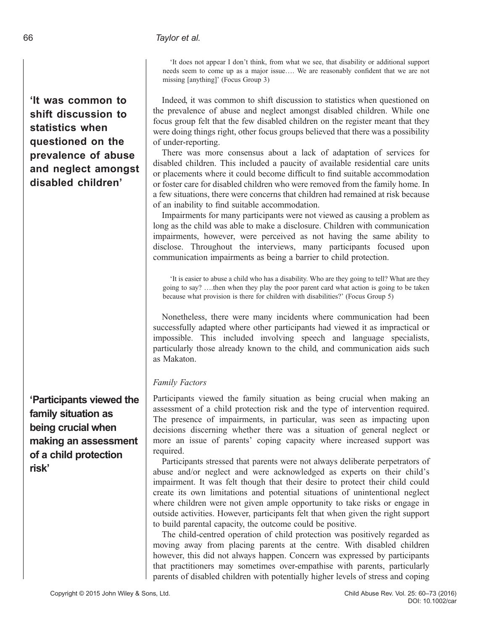#### 66 Taylor et al.

'It was common to shift discussion to statistics when questioned on the prevalence of abuse and neglect amongst disabled children'

'Participants viewed the family situation as being crucial when making an assessment of a child protection risk'

'It does not appear I don't think, from what we see, that disability or additional support needs seem to come up as a major issue…. We are reasonably confident that we are not missing [anything]' (Focus Group 3)

Indeed, it was common to shift discussion to statistics when questioned on the prevalence of abuse and neglect amongst disabled children. While one focus group felt that the few disabled children on the register meant that they were doing things right, other focus groups believed that there was a possibility of under-reporting.

There was more consensus about a lack of adaptation of services for disabled children. This included a paucity of available residential care units or placements where it could become difficult to find suitable accommodation or foster care for disabled children who were removed from the family home. In a few situations, there were concerns that children had remained at risk because of an inability to find suitable accommodation.

Impairments for many participants were not viewed as causing a problem as long as the child was able to make a disclosure. Children with communication impairments, however, were perceived as not having the same ability to disclose. Throughout the interviews, many participants focused upon communication impairments as being a barrier to child protection.

'It is easier to abuse a child who has a disability. Who are they going to tell? What are they going to say? ….then when they play the poor parent card what action is going to be taken because what provision is there for children with disabilities?' (Focus Group 5)

Nonetheless, there were many incidents where communication had been successfully adapted where other participants had viewed it as impractical or impossible. This included involving speech and language specialists, particularly those already known to the child, and communication aids such as Makaton.

#### Family Factors

Participants viewed the family situation as being crucial when making an assessment of a child protection risk and the type of intervention required. The presence of impairments, in particular, was seen as impacting upon decisions discerning whether there was a situation of general neglect or more an issue of parents' coping capacity where increased support was required.

Participants stressed that parents were not always deliberate perpetrators of abuse and/or neglect and were acknowledged as experts on their child's impairment. It was felt though that their desire to protect their child could create its own limitations and potential situations of unintentional neglect where children were not given ample opportunity to take risks or engage in outside activities. However, participants felt that when given the right support to build parental capacity, the outcome could be positive.

The child-centred operation of child protection was positively regarded as moving away from placing parents at the centre. With disabled children however, this did not always happen. Concern was expressed by participants that practitioners may sometimes over-empathise with parents, particularly parents of disabled children with potentially higher levels of stress and coping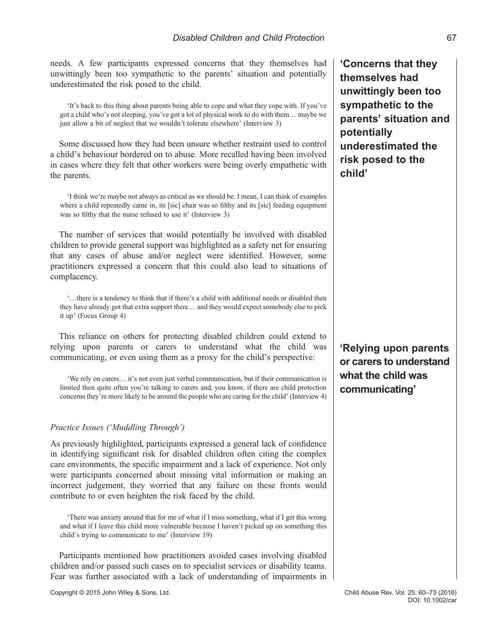needs. A few participants expressed concerns that they themselves had unwittingly been too sympathetic to the parents' situation and potentially underestimated the risk posed to the child.

'It's back to this thing about parents being able to cope and what they cope with. If you've got a child who's not sleeping, you've got a lot of physical work to do with them… maybe we just allow a bit of neglect that we wouldn't tolerate elsewhere' (Interview 3)

Some discussed how they had been unsure whether restraint used to control a child's behaviour bordered on to abuse. More recalled having been involved in cases where they felt that other workers were being overly empathetic with the parents.

'I think we're maybe not always as critical as we should be. I mean, I can think of examples where a child repeatedly came in, its [sic] chair was so filthy and its [sic] feeding equipment was so filthy that the nurse refused to use it' (Interview 3)

The number of services that would potentially be involved with disabled children to provide general support was highlighted as a safety net for ensuring that any cases of abuse and/or neglect were identified. However, some practitioners expressed a concern that this could also lead to situations of complacency.

'…there is a tendency to think that if there's a child with additional needs or disabled then they have already got that extra support there… and they would expect somebody else to pick it up' (Focus Group 4)

This reliance on others for protecting disabled children could extend to relying upon parents or carers to understand what the child was communicating, or even using them as a proxy for the child's perspective:

'We rely on carers… it's not even just verbal communication, but if their communication is limited then quite often you're talking to carers and, you know, if there are child protection concerns they're more likely to be around the people who are caring for the child' (Interview 4)

#### Practice Issues ('Muddling Through')

As previously highlighted, participants expressed a general lack of confidence in identifying significant risk for disabled children often citing the complex care environments, the specific impairment and a lack of experience. Not only were participants concerned about missing vital information or making an incorrect judgement, they worried that any failure on these fronts would contribute to or even heighten the risk faced by the child.

'There was anxiety around that for me of what if I miss something, what if I get this wrong and what if I leave this child more vulnerable because I haven't picked up on something this child's trying to communicate to me' (Interview 19)

Participants mentioned how practitioners avoided cases involving disabled children and/or passed such cases on to specialist services or disability teams. Fear was further associated with a lack of understanding of impairments in 'Relying upon parents or carers to understand what the child was communicating'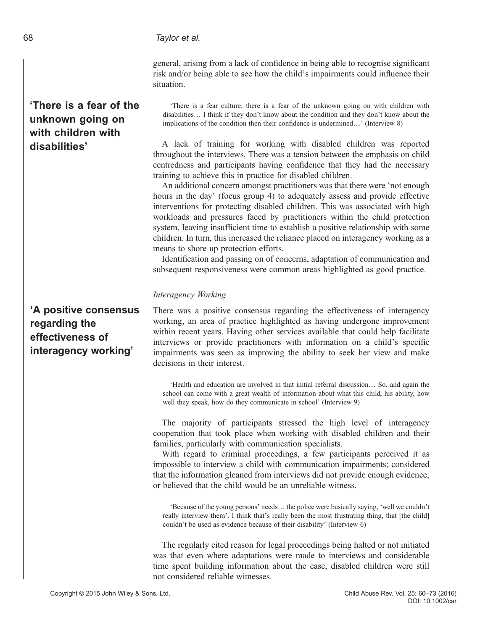#### 68 Taylor et al.

general, arising from a lack of confidence in being able to recognise significant risk and/or being able to see how the child's impairments could influence their situation.

'There is a fear culture, there is a fear of the unknown going on with children with disabilities… I think if they don't know about the condition and they don't know about the implications of the condition then their confidence is undermined…' (Interview 8)

A lack of training for working with disabled children was reported throughout the interviews. There was a tension between the emphasis on child centredness and participants having confidence that they had the necessary training to achieve this in practice for disabled children.

An additional concern amongst practitioners was that there were 'not enough hours in the day' (focus group 4) to adequately assess and provide effective interventions for protecting disabled children. This was associated with high workloads and pressures faced by practitioners within the child protection system, leaving insufficient time to establish a positive relationship with some children. In turn, this increased the reliance placed on interagency working as a means to shore up protection efforts.

Identification and passing on of concerns, adaptation of communication and subsequent responsiveness were common areas highlighted as good practice.

#### Interagency Working

There was a positive consensus regarding the effectiveness of interagency working, an area of practice highlighted as having undergone improvement within recent years. Having other services available that could help facilitate interviews or provide practitioners with information on a child's specific impairments was seen as improving the ability to seek her view and make decisions in their interest.

'Health and education are involved in that initial referral discussion… So, and again the school can come with a great wealth of information about what this child, his ability, how well they speak, how do they communicate in school' (Interview 9)

The majority of participants stressed the high level of interagency cooperation that took place when working with disabled children and their families, particularly with communication specialists.

With regard to criminal proceedings, a few participants perceived it as impossible to interview a child with communication impairments; considered that the information gleaned from interviews did not provide enough evidence; or believed that the child would be an unreliable witness.

'Because of the young persons' needs… the police were basically saying, 'well we couldn't really interview them'. I think that's really been the most frustrating thing, that [the child] couldn't be used as evidence because of their disability' (Interview 6)

The regularly cited reason for legal proceedings being halted or not initiated was that even where adaptations were made to interviews and considerable time spent building information about the case, disabled children were still not considered reliable witnesses.

'A positive consensus regarding the effectiveness of interagency working'

'There is a fear of the unknown going on with children with

disabilities'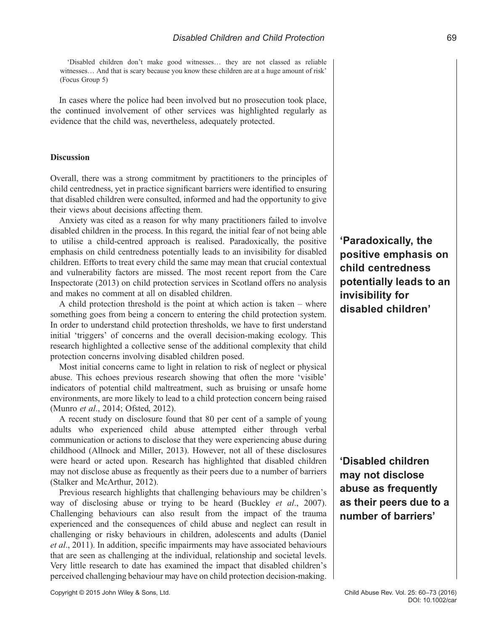'Disabled children don't make good witnesses… they are not classed as reliable witnesses… And that is scary because you know these children are at a huge amount of risk' (Focus Group 5)

In cases where the police had been involved but no prosecution took place, the continued involvement of other services was highlighted regularly as evidence that the child was, nevertheless, adequately protected.

#### **Discussion**

Overall, there was a strong commitment by practitioners to the principles of child centredness, yet in practice significant barriers were identified to ensuring that disabled children were consulted, informed and had the opportunity to give their views about decisions affecting them.

Anxiety was cited as a reason for why many practitioners failed to involve disabled children in the process. In this regard, the initial fear of not being able to utilise a child-centred approach is realised. Paradoxically, the positive emphasis on child centredness potentially leads to an invisibility for disabled children. Efforts to treat every child the same may mean that crucial contextual and vulnerability factors are missed. The most recent report from the Care Inspectorate (2013) on child protection services in Scotland offers no analysis and makes no comment at all on disabled children.

A child protection threshold is the point at which action is taken – where something goes from being a concern to entering the child protection system. In order to understand child protection thresholds, we have to first understand initial 'triggers' of concerns and the overall decision-making ecology. This research highlighted a collective sense of the additional complexity that child protection concerns involving disabled children posed.

Most initial concerns came to light in relation to risk of neglect or physical abuse. This echoes previous research showing that often the more 'visible' indicators of potential child maltreatment, such as bruising or unsafe home environments, are more likely to lead to a child protection concern being raised (Munro et al., 2014; Ofsted, 2012).

A recent study on disclosure found that 80 per cent of a sample of young adults who experienced child abuse attempted either through verbal communication or actions to disclose that they were experiencing abuse during childhood (Allnock and Miller, 2013). However, not all of these disclosures were heard or acted upon. Research has highlighted that disabled children may not disclose abuse as frequently as their peers due to a number of barriers (Stalker and McArthur, 2012).

Previous research highlights that challenging behaviours may be children's way of disclosing abuse or trying to be heard (Buckley *et al.*, 2007). Challenging behaviours can also result from the impact of the trauma experienced and the consequences of child abuse and neglect can result in challenging or risky behaviours in children, adolescents and adults (Daniel et al., 2011). In addition, specific impairments may have associated behaviours that are seen as challenging at the individual, relationship and societal levels. Very little research to date has examined the impact that disabled children's perceived challenging behaviour may have on child protection decision-making. 'Paradoxically, the positive emphasis on child centredness potentially leads to an invisibility for disabled children'

'Disabled children may not disclose abuse as frequently as their peers due to a number of barriers'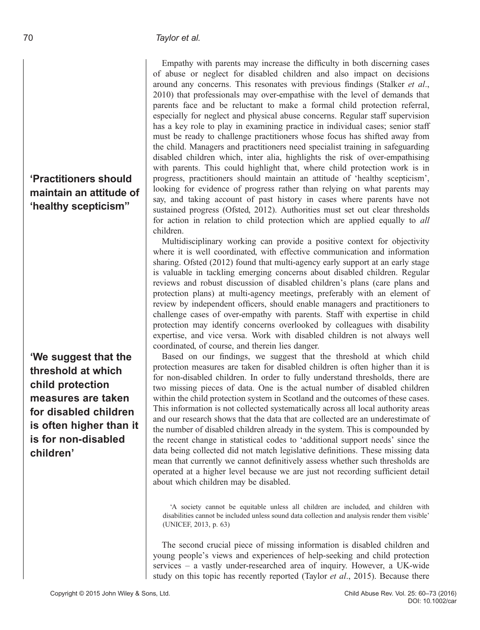'Practitioners should maintain an attitude of 'healthy scepticism"

'We suggest that the threshold at which child protection measures are taken for disabled children is often higher than it is for non-disabled children'

Empathy with parents may increase the difficulty in both discerning cases of abuse or neglect for disabled children and also impact on decisions around any concerns. This resonates with previous findings (Stalker et al., 2010) that professionals may over-empathise with the level of demands that parents face and be reluctant to make a formal child protection referral, especially for neglect and physical abuse concerns. Regular staff supervision has a key role to play in examining practice in individual cases; senior staff must be ready to challenge practitioners whose focus has shifted away from the child. Managers and practitioners need specialist training in safeguarding disabled children which, inter alia, highlights the risk of over-empathising with parents. This could highlight that, where child protection work is in progress, practitioners should maintain an attitude of 'healthy scepticism', looking for evidence of progress rather than relying on what parents may say, and taking account of past history in cases where parents have not sustained progress (Ofsted, 2012). Authorities must set out clear thresholds for action in relation to child protection which are applied equally to all children.

Multidisciplinary working can provide a positive context for objectivity where it is well coordinated, with effective communication and information sharing. Ofsted (2012) found that multi-agency early support at an early stage is valuable in tackling emerging concerns about disabled children. Regular reviews and robust discussion of disabled children's plans (care plans and protection plans) at multi-agency meetings, preferably with an element of review by independent officers, should enable managers and practitioners to challenge cases of over-empathy with parents. Staff with expertise in child protection may identify concerns overlooked by colleagues with disability expertise, and vice versa. Work with disabled children is not always well coordinated, of course, and therein lies danger.

Based on our findings, we suggest that the threshold at which child protection measures are taken for disabled children is often higher than it is for non-disabled children. In order to fully understand thresholds, there are two missing pieces of data. One is the actual number of disabled children within the child protection system in Scotland and the outcomes of these cases. This information is not collected systematically across all local authority areas and our research shows that the data that are collected are an underestimate of the number of disabled children already in the system. This is compounded by the recent change in statistical codes to 'additional support needs' since the data being collected did not match legislative definitions. These missing data mean that currently we cannot definitively assess whether such thresholds are operated at a higher level because we are just not recording sufficient detail about which children may be disabled.

'A society cannot be equitable unless all children are included, and children with disabilities cannot be included unless sound data collection and analysis render them visible' (UNICEF, 2013, p. 63)

The second crucial piece of missing information is disabled children and young people's views and experiences of help-seeking and child protection services – a vastly under-researched area of inquiry. However, a UK-wide study on this topic has recently reported (Taylor et al., 2015). Because there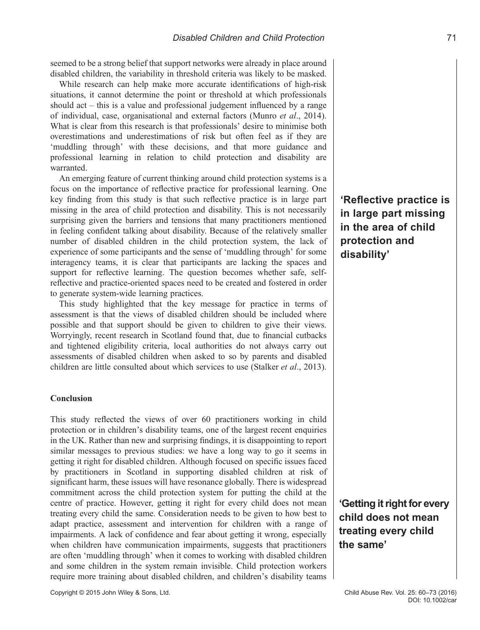seemed to be a strong belief that support networks were already in place around disabled children, the variability in threshold criteria was likely to be masked.

While research can help make more accurate identifications of high-risk situations, it cannot determine the point or threshold at which professionals should act – this is a value and professional judgement influenced by a range of individual, case, organisational and external factors (Munro et al., 2014). What is clear from this research is that professionals' desire to minimise both overestimations and underestimations of risk but often feel as if they are 'muddling through' with these decisions, and that more guidance and professional learning in relation to child protection and disability are warranted.

An emerging feature of current thinking around child protection systems is a focus on the importance of reflective practice for professional learning. One key finding from this study is that such reflective practice is in large part missing in the area of child protection and disability. This is not necessarily surprising given the barriers and tensions that many practitioners mentioned in feeling confident talking about disability. Because of the relatively smaller number of disabled children in the child protection system, the lack of experience of some participants and the sense of 'muddling through' for some interagency teams, it is clear that participants are lacking the spaces and support for reflective learning. The question becomes whether safe, selfreflective and practice-oriented spaces need to be created and fostered in order to generate system-wide learning practices.

This study highlighted that the key message for practice in terms of assessment is that the views of disabled children should be included where possible and that support should be given to children to give their views. Worryingly, recent research in Scotland found that, due to financial cutbacks and tightened eligibility criteria, local authorities do not always carry out assessments of disabled children when asked to so by parents and disabled children are little consulted about which services to use (Stalker *et al.*, 2013).

#### Conclusion

This study reflected the views of over 60 practitioners working in child protection or in children's disability teams, one of the largest recent enquiries in the UK. Rather than new and surprising findings, it is disappointing to report similar messages to previous studies: we have a long way to go it seems in getting it right for disabled children. Although focused on specific issues faced by practitioners in Scotland in supporting disabled children at risk of significant harm, these issues will have resonance globally. There is widespread commitment across the child protection system for putting the child at the centre of practice. However, getting it right for every child does not mean treating every child the same. Consideration needs to be given to how best to adapt practice, assessment and intervention for children with a range of impairments. A lack of confidence and fear about getting it wrong, especially when children have communication impairments, suggests that practitioners are often 'muddling through' when it comes to working with disabled children and some children in the system remain invisible. Child protection workers require more training about disabled children, and children's disability teams

'Reflective practice is in large part missing in the area of child protection and disability'

'Getting it right for every child does not mean treating every child the same'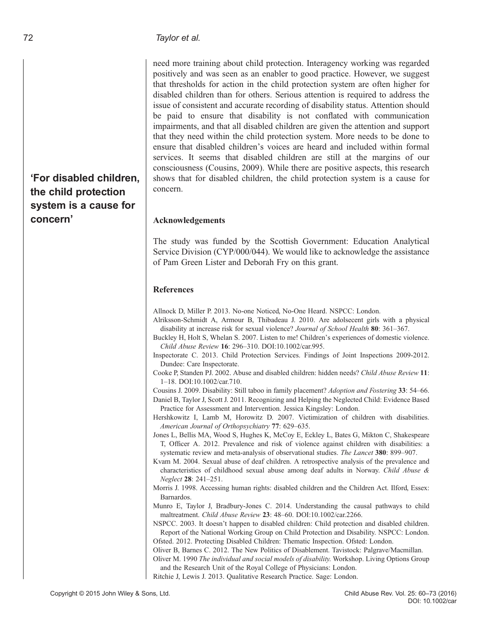need more training about child protection. Interagency working was regarded positively and was seen as an enabler to good practice. However, we suggest that thresholds for action in the child protection system are often higher for disabled children than for others. Serious attention is required to address the issue of consistent and accurate recording of disability status. Attention should be paid to ensure that disability is not conflated with communication impairments, and that all disabled children are given the attention and support that they need within the child protection system. More needs to be done to ensure that disabled children's voices are heard and included within formal services. It seems that disabled children are still at the margins of our consciousness (Cousins, 2009). While there are positive aspects, this research shows that for disabled children, the child protection system is a cause for concern.

#### Acknowledgements

The study was funded by the Scottish Government: Education Analytical Service Division (CYP/000/044). We would like to acknowledge the assistance of Pam Green Lister and Deborah Fry on this grant.

#### References

Allnock D, Miller P. 2013. No-one Noticed, No-One Heard. NSPCC: London.

Alriksson-Schmidt A, Armour B, Thibadeau J. 2010. Are adolsecent girls with a physical disability at increase risk for sexual violence? Journal of School Health 80: 361–367.

Buckley H, Holt S, Whelan S. 2007. Listen to me! Children's experiences of domestic violence. Child Abuse Review 16: 296–310. DOI:10.1002/car.995.

Inspectorate C. 2013. Child Protection Services. Findings of Joint Inspections 2009-2012. Dundee: Care Inspectorate.

Cooke P, Standen PJ. 2002. Abuse and disabled children: hidden needs? Child Abuse Review 11: 1–18. DOI:10.1002/car.710.

Cousins J. 2009. Disability: Still taboo in family placement? Adoption and Fostering 33: 54–66.

Daniel B, Taylor J, Scott J. 2011. Recognizing and Helping the Neglected Child: Evidence Based Practice for Assessment and Intervention. Jessica Kingsley: London.

Hershkowitz I, Lamb M, Horowitz D. 2007. Victimization of children with disabilities. American Journal of Orthopsychiatry 77: 629–635.

Jones L, Bellis MA, Wood S, Hughes K, McCoy E, Eckley L, Bates G, Mikton C, Shakespeare T, Officer A. 2012. Prevalence and risk of violence against children with disabilities: a systematic review and meta-analysis of observational studies. The Lancet 380: 899–907.

Kvam M. 2004. Sexual abuse of deaf children. A retrospective analysis of the prevalence and characteristics of childhood sexual abuse among deaf adults in Norway. Child Abuse & Neglect 28: 241–251.

Morris J. 1998. Accessing human rights: disabled children and the Children Act. Ilford, Essex: Barnardos.

Munro E, Taylor J, Bradbury-Jones C. 2014. Understanding the causal pathways to child maltreatment. Child Abuse Review 23: 48–60. DOI:10.1002/car.2266.

NSPCC. 2003. It doesn't happen to disabled children: Child protection and disabled children. Report of the National Working Group on Child Protection and Disability. NSPCC: London. Ofsted. 2012. Protecting Disabled Children: Thematic Inspection. Ofsted: London.

Oliver B, Barnes C. 2012. The New Politics of Disablement. Tavistock: Palgrave/Macmillan.

Oliver M. 1990 The individual and social models of disability. Workshop. Living Options Group and the Research Unit of the Royal College of Physicians: London.

Ritchie J, Lewis J. 2013. Qualitative Research Practice. Sage: London.

'For disabled children,

the child protection system is a cause for

concern'